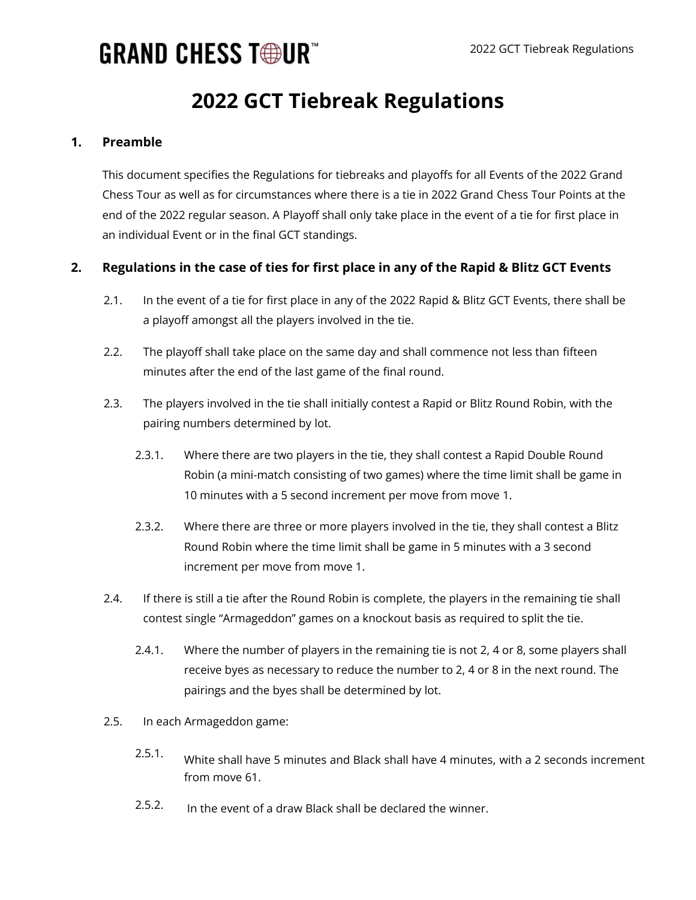## **GRAND CHESS TOUR"**

### **2022 GCT Tiebreak Regulations**

#### **1. Preamble**

This document specifies the Regulations for tiebreaks and playoffs for all Events of the 2022 Grand Chess Tour as well as for circumstances where there is a tie in 2022 Grand Chess Tour Points at the end of the 2022 regular season. A Playoff shall only take place in the event of a tie for first place in an individual Event or in the final GCT standings.

#### **2. Regulations in the case of ties for first place in any of the Rapid & Blitz GCT Events**

- 2.1. In the event of a tie for first place in any of the 2022 Rapid & Blitz GCT Events, there shall be a playoff amongst all the players involved in the tie.
- 2.2. The playoff shall take place on the same day and shall commence not less than fifteen minutes after the end of the last game of the final round.
- 2.3. The players involved in the tie shall initially contest a Rapid or Blitz Round Robin, with the pairing numbers determined by lot.
	- 2.3.1. Where there are two players in the tie, they shall contest a Rapid Double Round Robin (a mini-match consisting of two games) where the time limit shall be game in 10 minutes with a 5 second increment per move from move 1.
	- 2.3.2. Where there are three or more players involved in the tie, they shall contest a Blitz Round Robin where the time limit shall be game in 5 minutes with a 3 second increment per move from move 1.
- 2.4. If there is still a tie after the Round Robin is complete, the players in the remaining tie shall contest single "Armageddon" games on a knockout basis as required to split the tie.
	- 2.4.1. Where the number of players in the remaining tie is not 2, 4 or 8, some players shall receive byes as necessary to reduce the number to 2, 4 or 8 in the next round. The pairings and the byes shall be determined by lot.
- 2.5. In each Armageddon game:
	- 2.5.1. White shall have 5 minutes and Black shall have 4 minutes, with a 2 seconds increment from move 61.
	- In the event of a draw Black shall be declared the winner. 2.5.2.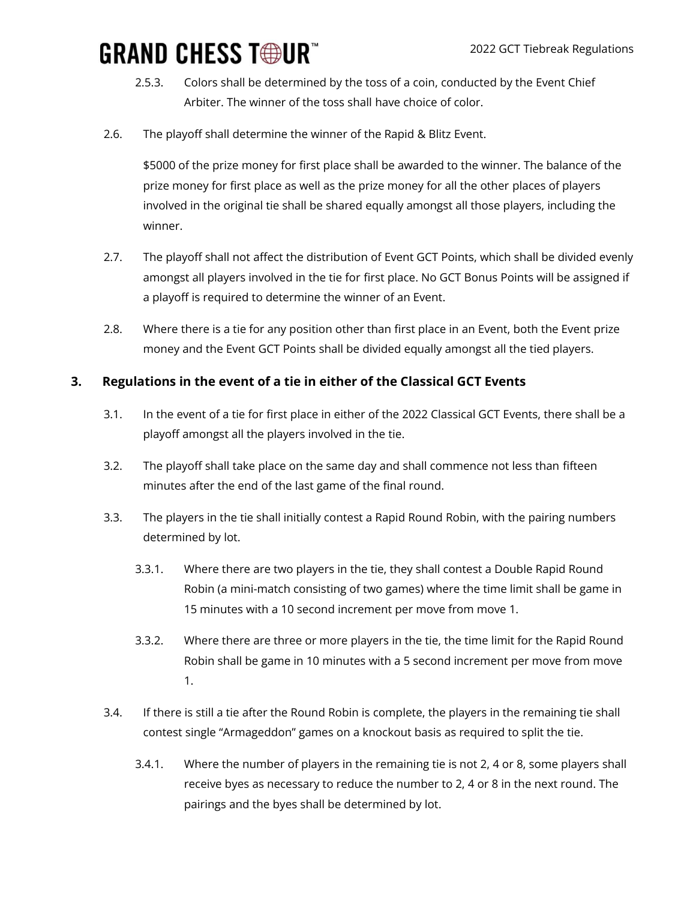# **GRAND CHESS TOUR"**

- 2.5.3. Colors shall be determined by the toss of a coin, conducted by the Event Chief Arbiter. The winner of the toss shall have choice of color.
- 2.6. The playoff shall determine the winner of the Rapid & Blitz Event.

\$5000 of the prize money for first place shall be awarded to the winner. The balance of the prize money for first place as well as the prize money for all the other places of players involved in the original tie shall be shared equally amongst all those players, including the winner.

- 2.7. The playoff shall not affect the distribution of Event GCT Points, which shall be divided evenly amongst all players involved in the tie for first place. No GCT Bonus Points will be assigned if a playoff is required to determine the winner of an Event.
- 2.8. Where there is a tie for any position other than first place in an Event, both the Event prize money and the Event GCT Points shall be divided equally amongst all the tied players.

#### **3. Regulations in the event of a tie in either of the Classical GCT Events**

- 3.1. In the event of a tie for first place in either of the 2022 Classical GCT Events, there shall be a playoff amongst all the players involved in the tie.
- 3.2. The playoff shall take place on the same day and shall commence not less than fifteen minutes after the end of the last game of the final round.
- 3.3. The players in the tie shall initially contest a Rapid Round Robin, with the pairing numbers determined by lot.
	- 3.3.1. Where there are two players in the tie, they shall contest a Double Rapid Round Robin (a mini-match consisting of two games) where the time limit shall be game in 15 minutes with a 10 second increment per move from move 1.
	- 3.3.2. Where there are three or more players in the tie, the time limit for the Rapid Round Robin shall be game in 10 minutes with a 5 second increment per move from move 1.
- 3.4. If there is still a tie after the Round Robin is complete, the players in the remaining tie shall contest single "Armageddon" games on a knockout basis as required to split the tie.
	- 3.4.1. Where the number of players in the remaining tie is not 2, 4 or 8, some players shall receive byes as necessary to reduce the number to 2, 4 or 8 in the next round. The pairings and the byes shall be determined by lot.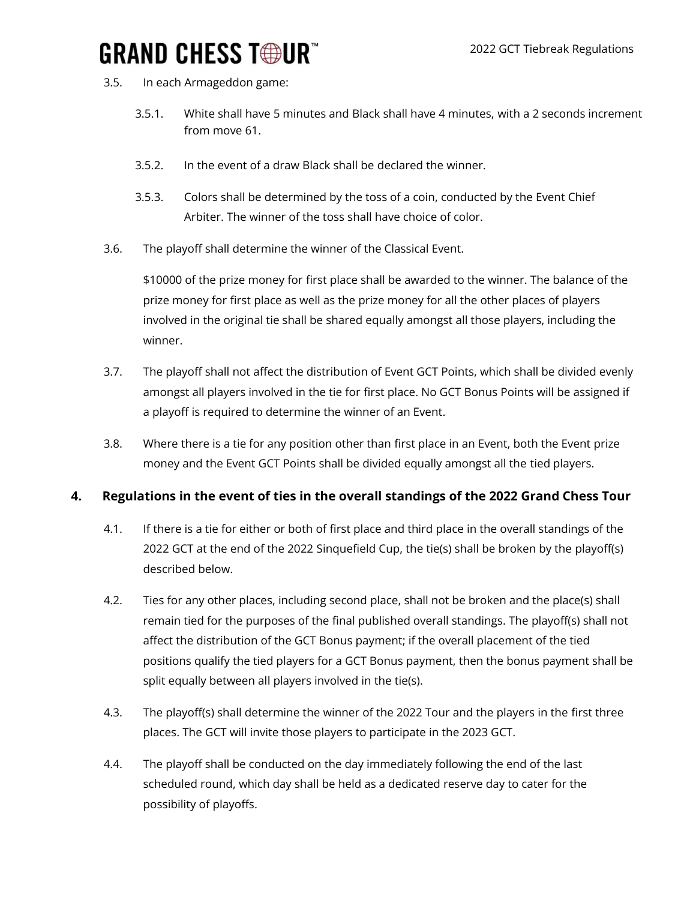### **GRAND CHESS T®UR**

- 3.5. In each Armageddon game:
	- 3.5.1. White shall have 5 minutes and Black shall have 4 minutes, with a 2 seconds increment from move 61.
	- $3.5.2.$ In the event of a draw Black shall be declared the winner.
	- 3.5.3. Colors shall be determined by the toss of a coin, conducted by the Event Chief Arbiter. The winner of the toss shall have choice of color.
- 3.6. The playoff shall determine the winner of the Classical Event.

\$10000 of the prize money for first place shall be awarded to the winner. The balance of the prize money for first place as well as the prize money for all the other places of players involved in the original tie shall be shared equally amongst all those players, including the winner.

- 3.7. The playoff shall not affect the distribution of Event GCT Points, which shall be divided evenly amongst all players involved in the tie for first place. No GCT Bonus Points will be assigned if a playoff is required to determine the winner of an Event.
- 3.8. Where there is a tie for any position other than first place in an Event, both the Event prize money and the Event GCT Points shall be divided equally amongst all the tied players.

#### **4. Regulations in the event of ties in the overall standings of the 2022 Grand Chess Tour**

- 4.1. If there is a tie for either or both of first place and third place in the overall standings of the 2022 GCT at the end of the 2022 Sinquefield Cup, the tie(s) shall be broken by the playoff(s) described below.
- 4.2. Ties for any other places, including second place, shall not be broken and the place(s) shall remain tied for the purposes of the final published overall standings. The playoff(s) shall not affect the distribution of the GCT Bonus payment; if the overall placement of the tied positions qualify the tied players for a GCT Bonus payment, then the bonus payment shall be split equally between all players involved in the tie(s).
- 4.3. The playoff(s) shall determine the winner of the 2022 Tour and the players in the first three places. The GCT will invite those players to participate in the 2023 GCT.
- 4.4. The playoff shall be conducted on the day immediately following the end of the last scheduled round, which day shall be held as a dedicated reserve day to cater for the possibility of playoffs.